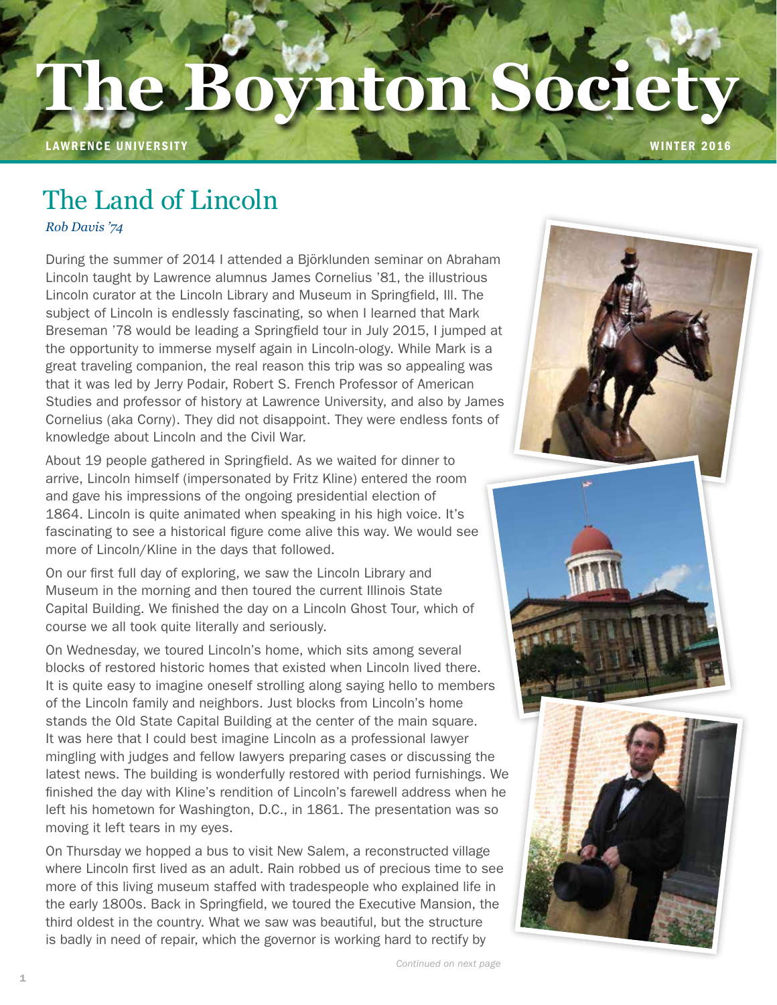## The Boynton Society **new**Bo **The Boynton Society**

LAWRENCE UNIVERSITY WINTER 2016

# The Land of Lincoln

*Rob Davis '74*

During the summer of 2014 I attended a Björklunden seminar on Abraham Lincoln taught by Lawrence alumnus James Cornelius '81, the illustrious Lincoln curator at the Lincoln Library and Museum in Springfield, Ill. The subject of Lincoln is endlessly fascinating, so when I learned that Mark Breseman '78 would be leading a Springfield tour in July 2015, I jumped at the opportunity to immerse myself again in Lincoln-ology. While Mark is a great traveling companion, the real reason this trip was so appealing was that it was led by Jerry Podair, Robert S. French Professor of American Studies and professor of history at Lawrence University, and also by James Cornelius (aka Corny). They did not disappoint. They were endless fonts of knowledge about Lincoln and the Civil War.

About 19 people gathered in Springfield. As we waited for dinner to arrive, Lincoln himself (impersonated by Fritz Kline) entered the room and gave his impressions of the ongoing presidential election of 1864. Lincoln is quite animated when speaking in his high voice. It's fascinating to see a historical figure come alive this way. We would see more of Lincoln/Kline in the days that followed.

On our first full day of exploring, we saw the Lincoln Library and Museum in the morning and then toured the current Illinois State Capital Building. We finished the day on a Lincoln Ghost Tour, which of course we all took quite literally and seriously.

On Wednesday, we toured Lincoln's home, which sits among several blocks of restored historic homes that existed when Lincoln lived there. It is quite easy to imagine oneself strolling along saying hello to members of the Lincoln family and neighbors. Just blocks from Lincoln's home stands the Old State Capital Building at the center of the main square. It was here that I could best imagine Lincoln as a professional lawyer mingling with judges and fellow lawyers preparing cases or discussing the latest news. The building is wonderfully restored with period furnishings. We finished the day with Kline's rendition of Lincoln's farewell address when he left his hometown for Washington, D.C., in 1861. The presentation was so moving it left tears in my eyes.

On Thursday we hopped a bus to visit New Salem, a reconstructed village where Lincoln first lived as an adult. Rain robbed us of precious time to see more of this living museum staffed with tradespeople who explained life in the early 1800s. Back in Springfield, we toured the Executive Mansion, the third oldest in the country. What we saw was beautiful, but the structure is badly in need of repair, which the governor is working hard to rectify by

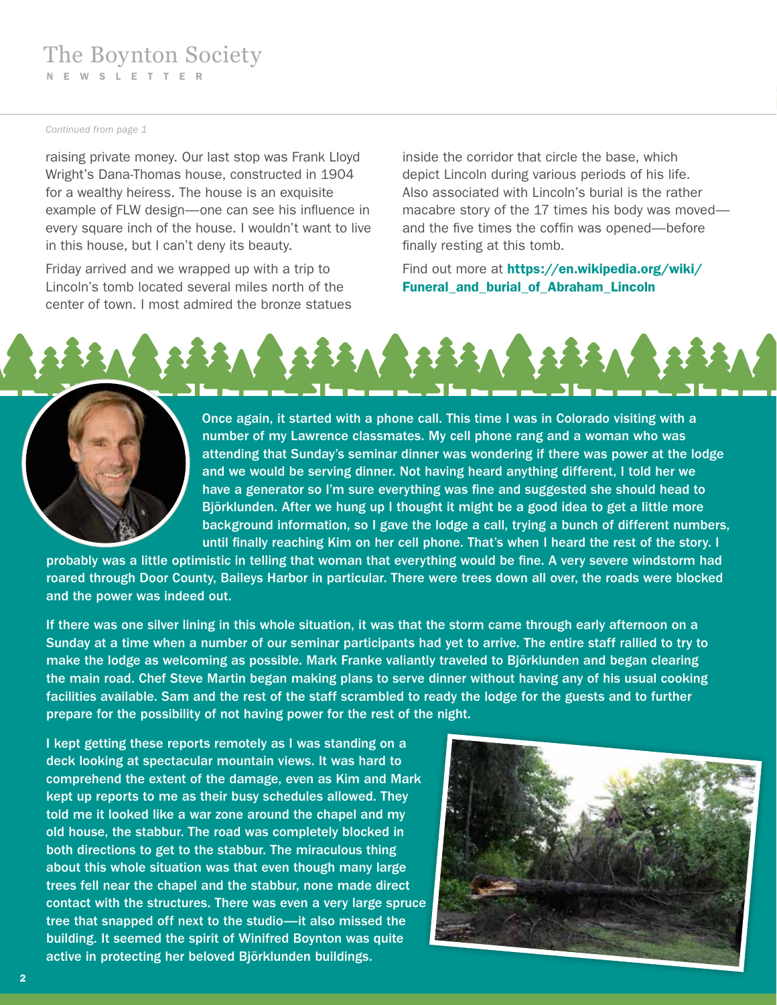#### *Continued from page 1*

raising private money. Our last stop was Frank Lloyd Wright's Dana-Thomas house, constructed in 1904 for a wealthy heiress. The house is an exquisite example of FLW design—one can see his influence in every square inch of the house. I wouldn't want to live in this house, but I can't deny its beauty.

Friday arrived and we wrapped up with a trip to Lincoln's tomb located several miles north of the center of town. I most admired the bronze statues inside the corridor that circle the base, which depict Lincoln during various periods of his life. Also associated with Lincoln's burial is the rather macabre story of the 17 times his body was moved and the five times the coffin was opened—before finally resting at this tomb.

Find out more at https://en.wikipedia.org/wiki/ Funeral\_and\_burial\_of\_Abraham\_Lincoln





Once again, it started with a phone call. This time I was in Colorado visiting with a number of my Lawrence classmates. My cell phone rang and a woman who was attending that Sunday's seminar dinner was wondering if there was power at the lodge and we would be serving dinner. Not having heard anything different, I told her we have a generator so I'm sure everything was fine and suggested she should head to Björklunden. After we hung up I thought it might be a good idea to get a little more background information, so I gave the lodge a call, trying a bunch of different numbers, until finally reaching Kim on her cell phone. That's when I heard the rest of the story. I

probably was a little optimistic in telling that woman that everything would be fine. A very severe windstorm had roared through Door County, Baileys Harbor in particular. There were trees down all over, the roads were blocked and the power was indeed out.

If there was one silver lining in this whole situation, it was that the storm came through early afternoon on a Sunday at a time when a number of our seminar participants had yet to arrive. The entire staff rallied to try to make the lodge as welcoming as possible. Mark Franke valiantly traveled to Björklunden and began clearing the main road. Chef Steve Martin began making plans to serve dinner without having any of his usual cooking facilities available. Sam and the rest of the staff scrambled to ready the lodge for the guests and to further prepare for the possibility of not having power for the rest of the night.

I kept getting these reports remotely as I was standing on a deck looking at spectacular mountain views. It was hard to comprehend the extent of the damage, even as Kim and Mark kept up reports to me as their busy schedules allowed. They told me it looked like a war zone around the chapel and my old house, the stabbur. The road was completely blocked in both directions to get to the stabbur. The miraculous thing about this whole situation was that even though many large trees fell near the chapel and the stabbur, none made direct contact with the structures. There was even a very large spruce tree that snapped off next to the studio—it also missed the building. It seemed the spirit of Winifred Boynton was quite active in protecting her beloved Björklunden buildings.

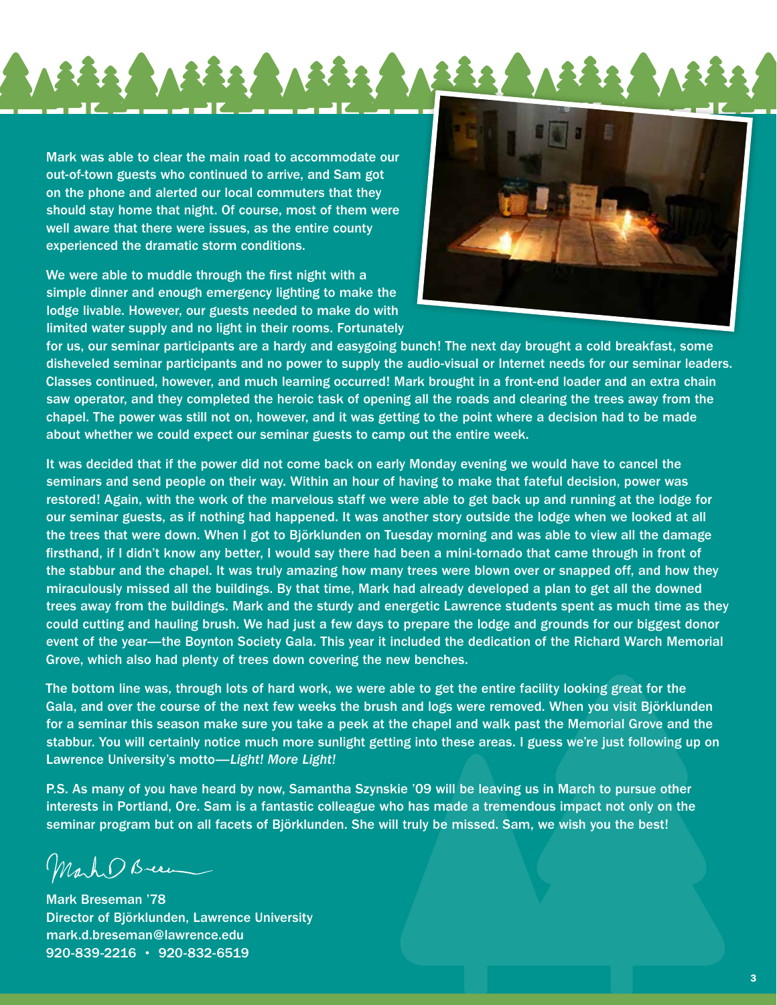Mark was able to clear the main road to accommodate our out-of-town guests who continued to arrive, and Sam got on the phone and alerted our local commuters that they should stay home that night. Of course, most of them were well aware that there were issues, as the entire county experienced the dramatic storm conditions.

We were able to muddle through the first night with a simple dinner and enough emergency lighting to make the lodge livable. However, our guests needed to make do with limited water supply and no light in their rooms. Fortunately



for us, our seminar participants are a hardy and easygoing bunch! The next day brought a cold breakfast, some disheveled seminar participants and no power to supply the audio-visual or Internet needs for our seminar leaders. Classes continued, however, and much learning occurred! Mark brought in a front-end loader and an extra chain saw operator, and they completed the heroic task of opening all the roads and clearing the trees away from the chapel. The power was still not on, however, and it was getting to the point where a decision had to be made about whether we could expect our seminar guests to camp out the entire week.

It was decided that if the power did not come back on early Monday evening we would have to cancel the seminars and send people on their way. Within an hour of having to make that fateful decision, power was restored! Again, with the work of the marvelous staff we were able to get back up and running at the lodge for our seminar guests, as if nothing had happened. It was another story outside the lodge when we looked at all the trees that were down. When I got to Björklunden on Tuesday morning and was able to view all the damage firsthand, if I didn't know any better, I would say there had been a mini-tornado that came through in front of the stabbur and the chapel. It was truly amazing how many trees were blown over or snapped off, and how they miraculously missed all the buildings. By that time, Mark had already developed a plan to get all the downed trees away from the buildings. Mark and the sturdy and energetic Lawrence students spent as much time as they could cutting and hauling brush. We had just a few days to prepare the lodge and grounds for our biggest donor event of the year—the Boynton Society Gala. This year it included the dedication of the Richard Warch Memorial Grove, which also had plenty of trees down covering the new benches.

The bottom line was, through lots of hard work, we were able to get the entire facility looking great for the Gala, and over the course of the next few weeks the brush and logs were removed. When you visit Björklunden for a seminar this season make sure you take a peek at the chapel and walk past the Memorial Grove and the stabbur. You will certainly notice much more sunlight getting into these areas. I guess we're just following up on Lawrence University's motto—*Light! More Light!*

P.S. As many of you have heard by now, Samantha Szynskie '09 will be leaving us in March to pursue other interests in Portland, Ore. Sam is a fantastic colleague who has made a tremendous impact not only on the seminar program but on all facets of Björklunden. She will truly be missed. Sam, we wish you the best!

Mark Breen

Mark Breseman '78 Director of Björklunden, Lawrence University mark.d.breseman@lawrence.edu 920-839-2216 • 920-832-6519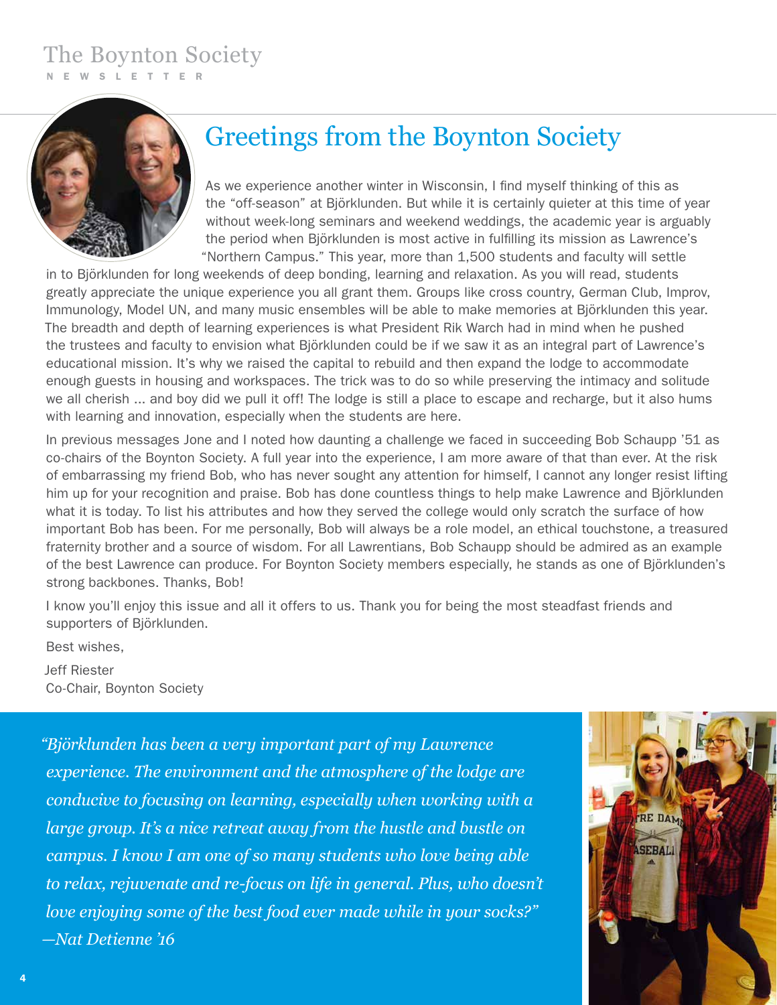#### The Boynton Society NEWSLETTER

## Greetings from the Boynton Society

As we experience another winter in Wisconsin, I find myself thinking of this as the "off-season" at Björklunden. But while it is certainly quieter at this time of year without week-long seminars and weekend weddings, the academic year is arguably the period when Björklunden is most active in fulfilling its mission as Lawrence's "Northern Campus." This year, more than 1,500 students and faculty will settle

in to Björklunden for long weekends of deep bonding, learning and relaxation. As you will read, students greatly appreciate the unique experience you all grant them. Groups like cross country, German Club, Improv, Immunology, Model UN, and many music ensembles will be able to make memories at Björklunden this year. The breadth and depth of learning experiences is what President Rik Warch had in mind when he pushed the trustees and faculty to envision what Björklunden could be if we saw it as an integral part of Lawrence's educational mission. It's why we raised the capital to rebuild and then expand the lodge to accommodate enough guests in housing and workspaces. The trick was to do so while preserving the intimacy and solitude we all cherish ... and boy did we pull it off! The lodge is still a place to escape and recharge, but it also hums with learning and innovation, especially when the students are here.

In previous messages Jone and I noted how daunting a challenge we faced in succeeding Bob Schaupp '51 as co-chairs of the Boynton Society. A full year into the experience, I am more aware of that than ever. At the risk of embarrassing my friend Bob, who has never sought any attention for himself, I cannot any longer resist lifting him up for your recognition and praise. Bob has done countless things to help make Lawrence and Björklunden what it is today. To list his attributes and how they served the college would only scratch the surface of how important Bob has been. For me personally, Bob will always be a role model, an ethical touchstone, a treasured fraternity brother and a source of wisdom. For all Lawrentians, Bob Schaupp should be admired as an example of the best Lawrence can produce. For Boynton Society members especially, he stands as one of Björklunden's strong backbones. Thanks, Bob!

I know you'll enjoy this issue and all it offers to us. Thank you for being the most steadfast friends and supporters of Björklunden.

Best wishes, Jeff Riester

Co-Chair, Boynton Society

*"Björklunden has been a very important part of my Lawrence experience. The environment and the atmosphere of the lodge are conducive to focusing on learning, especially when working with a large group. It's a nice retreat away from the hustle and bustle on campus. I know I am one of so many students who love being able to relax, rejuvenate and re-focus on life in general. Plus, who doesn't love enjoying some of the best food ever made while in your socks?" —Nat Detienne '16*

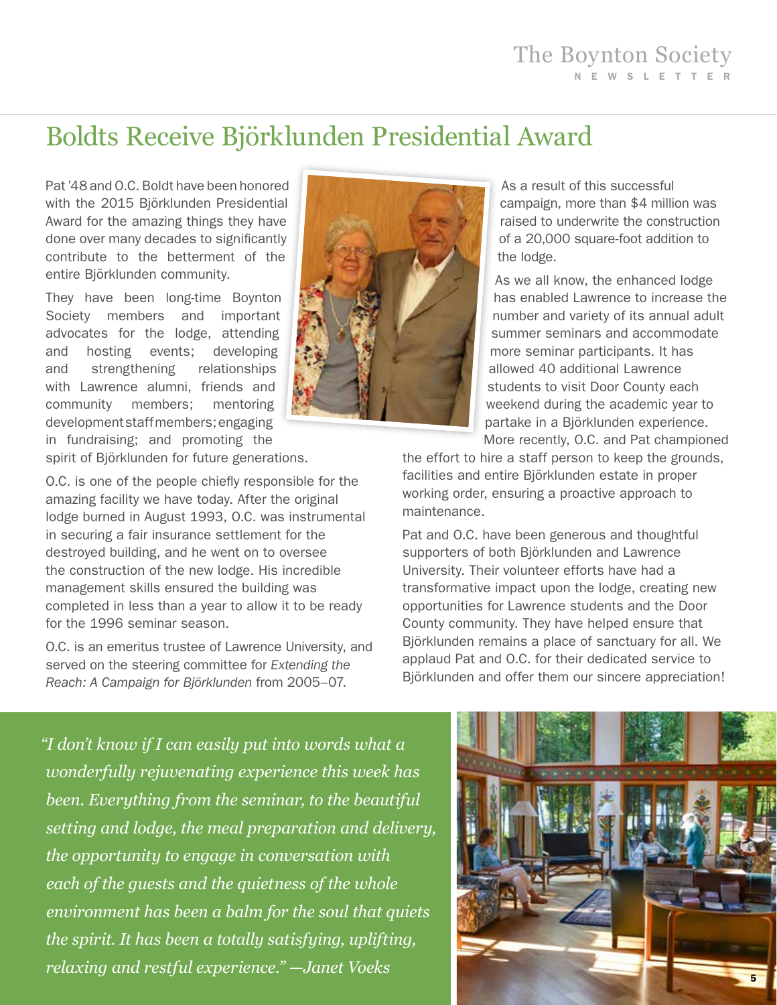## Boldts Receive Björklunden Presidential Award

Pat '48 and O.C. Boldt have been honored with the 2015 Björklunden Presidential Award for the amazing things they have done over many decades to significantly contribute to the betterment of the entire Björklunden community.

They have been long-time Boynton Society members and important advocates for the lodge, attending and hosting events; developing and strengthening relationships with Lawrence alumni, friends and community members; mentoring development staff members; engaging in fundraising; and promoting the spirit of Björklunden for future generations.

O.C. is one of the people chiefly responsible for the amazing facility we have today. After the original lodge burned in August 1993, O.C. was instrumental in securing a fair insurance settlement for the destroyed building, and he went on to oversee the construction of the new lodge. His incredible management skills ensured the building was completed in less than a year to allow it to be ready for the 1996 seminar season.

O.C. is an emeritus trustee of Lawrence University, and served on the steering committee for *Extending the Reach: A Campaign for Björklunden* from 2005–07.



As a result of this successful campaign, more than \$4 million was raised to underwrite the construction of a 20,000 square-foot addition to the lodge.

As we all know, the enhanced lodge has enabled Lawrence to increase the number and variety of its annual adult summer seminars and accommodate more seminar participants. It has allowed 40 additional Lawrence students to visit Door County each weekend during the academic year to partake in a Björklunden experience. More recently, O.C. and Pat championed

the effort to hire a staff person to keep the grounds, facilities and entire Björklunden estate in proper working order, ensuring a proactive approach to maintenance.

Pat and O.C. have been generous and thoughtful supporters of both Björklunden and Lawrence University. Their volunteer efforts have had a transformative impact upon the lodge, creating new opportunities for Lawrence students and the Door County community. They have helped ensure that Björklunden remains a place of sanctuary for all. We applaud Pat and O.C. for their dedicated service to Björklunden and offer them our sincere appreciation!

*"I don't know if I can easily put into words what a wonderfully rejuvenating experience this week has been. Everything from the seminar, to the beautiful setting and lodge, the meal preparation and delivery, the opportunity to engage in conversation with each of the guests and the quietness of the whole environment has been a balm for the soul that quiets the spirit. It has been a totally satisfying, uplifting, relaxing and restful experience." —Janet Voeks*

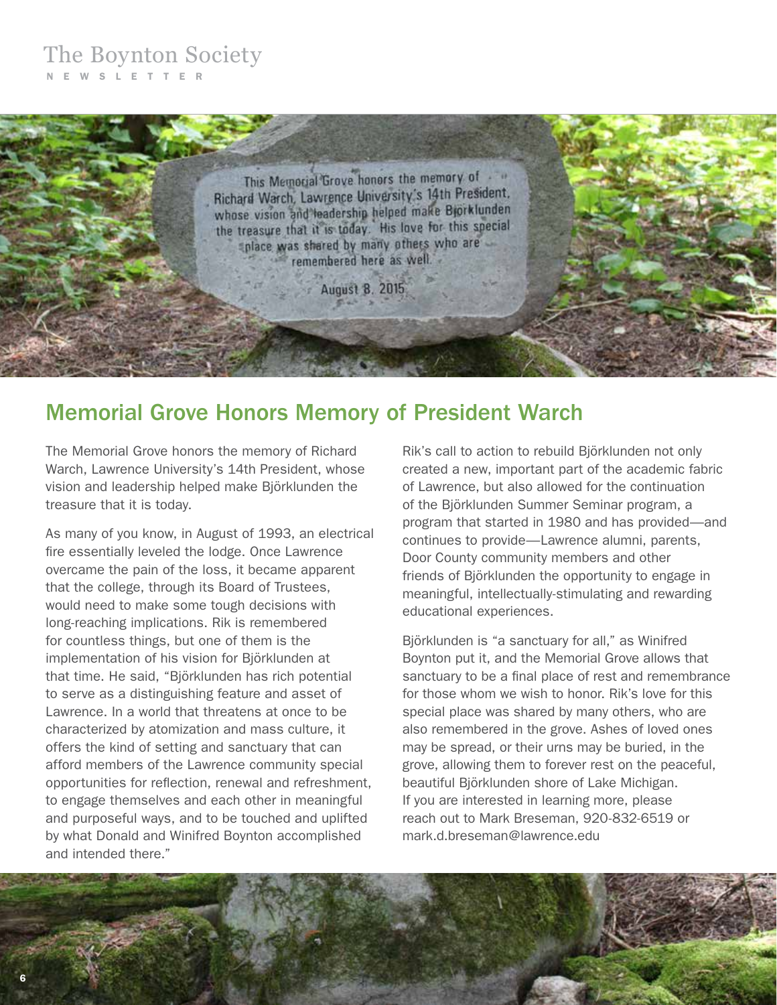#### The Boynton Society NEWSLETTER



### Memorial Grove Honors Memory of President Warch

The Memorial Grove honors the memory of Richard Warch, Lawrence University's 14th President, whose vision and leadership helped make Björklunden the treasure that it is today.

As many of you know, in August of 1993, an electrical fire essentially leveled the lodge. Once Lawrence overcame the pain of the loss, it became apparent that the college, through its Board of Trustees, would need to make some tough decisions with long-reaching implications. Rik is remembered for countless things, but one of them is the implementation of his vision for Björklunden at that time. He said, "Björklunden has rich potential to serve as a distinguishing feature and asset of Lawrence. In a world that threatens at once to be characterized by atomization and mass culture, it offers the kind of setting and sanctuary that can afford members of the Lawrence community special opportunities for reflection, renewal and refreshment, to engage themselves and each other in meaningful and purposeful ways, and to be touched and uplifted by what Donald and Winifred Boynton accomplished and intended there."

Rik's call to action to rebuild Björklunden not only created a new, important part of the academic fabric of Lawrence, but also allowed for the continuation of the Björklunden Summer Seminar program, a program that started in 1980 and has provided—and continues to provide—Lawrence alumni, parents, Door County community members and other friends of Björklunden the opportunity to engage in meaningful, intellectually-stimulating and rewarding educational experiences.

Björklunden is "a sanctuary for all," as Winifred Boynton put it, and the Memorial Grove allows that sanctuary to be a final place of rest and remembrance for those whom we wish to honor. Rik's love for this special place was shared by many others, who are also remembered in the grove. Ashes of loved ones may be spread, or their urns may be buried, in the grove, allowing them to forever rest on the peaceful, beautiful Björklunden shore of Lake Michigan. If you are interested in learning more, please reach out to Mark Breseman, 920-832-6519 or mark.d.breseman@lawrence.edu

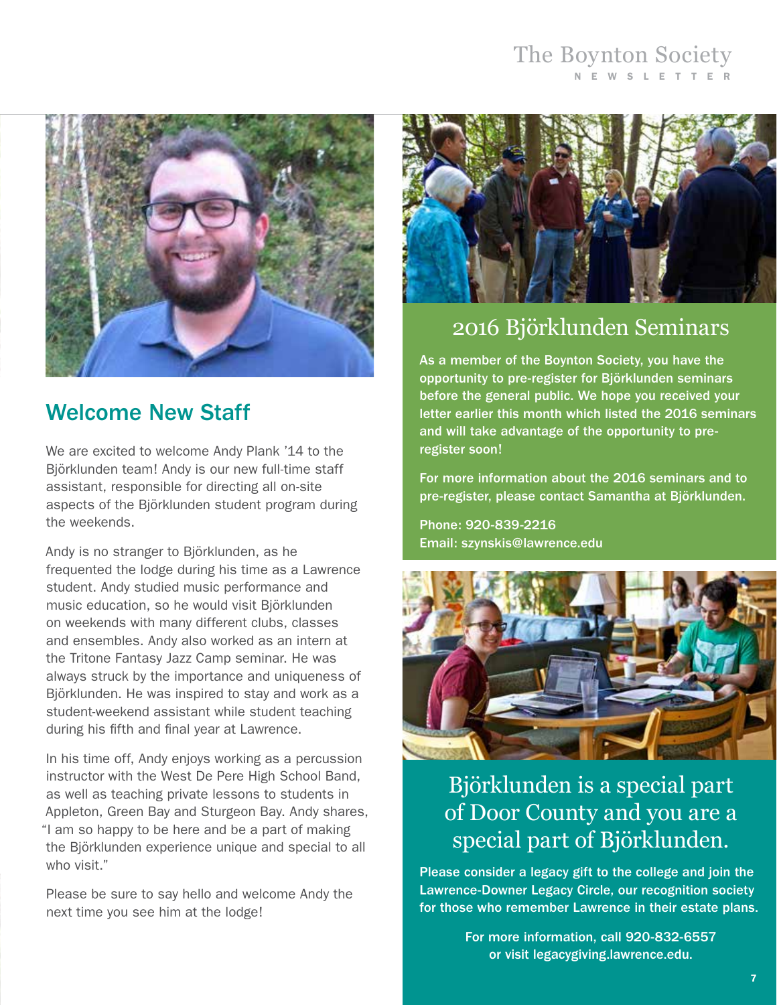### The Boynton Society NEWSLETTER



## Welcome New Staff

We are excited to welcome Andy Plank '14 to the Björklunden team! Andy is our new full-time staff assistant, responsible for directing all on-site aspects of the Björklunden student program during the weekends.

Andy is no stranger to Björklunden, as he frequented the lodge during his time as a Lawrence student. Andy studied music performance and music education, so he would visit Björklunden on weekends with many different clubs, classes and ensembles. Andy also worked as an intern at the Tritone Fantasy Jazz Camp seminar. He was always struck by the importance and uniqueness of Björklunden. He was inspired to stay and work as a student-weekend assistant while student teaching during his fifth and final year at Lawrence.

In his time off, Andy enjoys working as a percussion instructor with the West De Pere High School Band, as well as teaching private lessons to students in Appleton, Green Bay and Sturgeon Bay. Andy shares, "I am so happy to be here and be a part of making the Björklunden experience unique and special to all who visit."

Please be sure to say hello and welcome Andy the next time you see him at the lodge!



## 2016 Bjӧrklunden Seminars

As a member of the Boynton Society, you have the opportunity to pre-register for Björklunden seminars before the general public. We hope you received your letter earlier this month which listed the 2016 seminars and will take advantage of the opportunity to preregister soon!

For more information about the 2016 seminars and to pre-register, please contact Samantha at Björklunden.

Phone: 920-839-2216 Email: szynskis@lawrence.edu



## Björklunden is a special part of Door County and you are a special part of Björklunden.

Please consider a legacy gift to the college and join the Lawrence-Downer Legacy Circle, our recognition society for those who remember Lawrence in their estate plans.

> For more information, call 920-832-6557 or visit legacygiving.lawrence.edu.